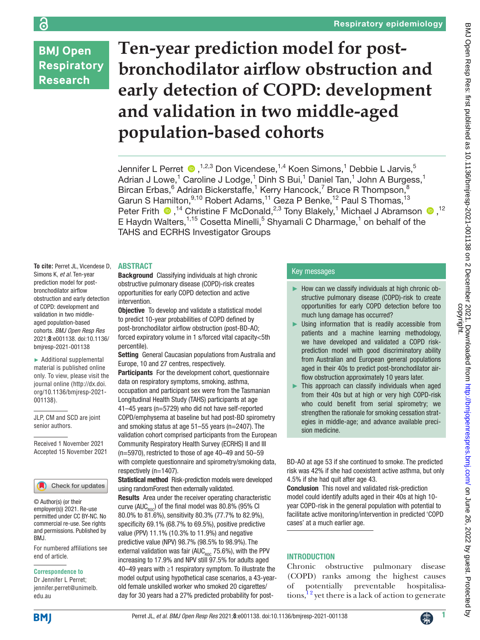# **BMJ Open Respiratory Research**

**Ten-year prediction model for postbronchodilator airflow obstruction and early detection of COPD: development and validation in two middle-aged population-based cohorts**

Jennifer L Perret  $\bullet$  ,<sup>1,2,3</sup> Don Vicendese,<sup>1,4</sup> Koen Simons,<sup>1</sup> Debbie L Jarvis,<sup>5</sup> Adrian J Lowe,<sup>1</sup> Caroline J Lodge,<sup>1</sup> Dinh S Bui,<sup>1</sup> Daniel Tan,<sup>1</sup> John A Burgess,<sup>1</sup> Bircan Erbas,<sup>6</sup> Adrian Bickerstaffe,<sup>1</sup> Kerry Hancock,<sup>7</sup> Bruce R Thompson,<sup>8</sup> Garun S Hamilton, 9,10 Robert Adams, <sup>11</sup> Geza P Benke, <sup>12</sup> Paul S Thomas, <sup>13</sup> Peter Frith  $\bullet$ ,<sup>14</sup> Christine F McDonald,<sup>2,3</sup> Tony Blakely,<sup>1</sup> Michael J Abramson  $\bullet$ ,<sup>12</sup> E Haydn Walters,  $1,15$  Cosetta Minelli,  $5$  Shyamali C Dharmage,  $1$  on behalf of the TAHS and ECRHS Investigator Groups

#### **ABSTRACT**

**To cite:** Perret JL, Vicendese D, Simons K, *et al*. Ten-year prediction model for postbronchodilator airflow obstruction and early detection of COPD: development and validation in two middleaged population-based cohorts. *BMJ Open Resp Res* 2021;**8**:e001138. doi:10.1136/ bmjresp-2021-001138

► Additional supplemental material is published online only. To view, please visit the journal online ([http://dx.doi.](http://dx.doi.org/10.1136/bmjresp-2021-001138) [org/10.1136/bmjresp-2021-](http://dx.doi.org/10.1136/bmjresp-2021-001138) [001138](http://dx.doi.org/10.1136/bmjresp-2021-001138)).

JLP, CM and SCD are joint senior authors.

Received 1 November 2021 Accepted 15 November 2021

### Check for updates

© Author(s) (or their employer(s)) 2021. Re-use permitted under CC BY-NC. No commercial re-use. See rights and permissions. Published by BMJ.

For numbered affiliations see end of article.

#### **Correspondence to**

Dr Jennifer L Perret; jennifer.perret@unimelb. edu.au

Background Classifying individuals at high chronic obstructive pulmonary disease (COPD)-risk creates opportunities for early COPD detection and active intervention.

**Objective** To develop and validate a statistical model to predict 10-year probabilities of COPD defined by post-bronchodilator airflow obstruction (post-BD-AO; forced expiratory volume in 1 s/forced vital capacity<5th percentile).

Setting General Caucasian populations from Australia and Europe, 10 and 27 centres, respectively.

Participants For the development cohort, questionnaire data on respiratory symptoms, smoking, asthma, occupation and participant sex were from the Tasmanian Longitudinal Health Study (TAHS) participants at age 41–45 years (n=5729) who did not have self-reported COPD/emphysema at baseline but had post-BD spirometry and smoking status at age 51–55 years (n=2407). The validation cohort comprised participants from the European Community Respiratory Health Survey (ECRHS) II and III (n=5970), restricted to those of age 40–49 and 50–59 with complete questionnaire and spirometry/smoking data, respectively (n=1407).

Statistical method Risk-prediction models were developed using randomForest then externally validated.

Results Area under the receiver operating characteristic curve ( $AUC<sub>por</sub>$ ) of the final model was 80.8% (95% CI 80.0% to 81.6%), sensitivity 80.3% (77.7% to 82.9%), specificity 69.1% (68.7% to 69.5%), positive predictive value (PPV) 11.1% (10.3% to 11.9%) and negative predictive value (NPV) 98.7% (98.5% to 98.9%). The external validation was fair (AUC<sub>ROC</sub> 75.6%), with the PPV increasing to 17.9% and NPV still 97.5% for adults aged 40–49 years with ≥1 respiratory symptom. To illustrate the model output using hypothetical case scenarios, a 43-yearold female unskilled worker who smoked 20 cigarettes/ day for 30 years had a 27% predicted probability for post-

# Key messages

- ► How can we classify individuals at high chronic obstructive pulmonary disease (COPD)-risk to create opportunities for early COPD detection before too much lung damage has occurred?
- Using information that is readily accessible from patients and a machine learning methodology, we have developed and validated a COPD riskprediction model with good discriminatory ability from Australian and European general populations aged in their 40s to predict post-bronchodilator airflow obstruction approximately 10 years later.
- This approach can classify individuals when aged from their 40s but at high or very high COPD-risk who could benefit from serial spirometry; we strengthen the rationale for smoking cessation strategies in middle-age; and advance available precision medicine.

BD-AO at age 53 if she continued to smoke. The predicted risk was 42% if she had coexistent active asthma, but only 4.5% if she had quit after age 43.

Conclusion This novel and validated risk-prediction model could identify adults aged in their 40s at high 10 year COPD-risk in the general population with potential to facilitate active monitoring/intervention in predicted 'COPD cases' at a much earlier age.

# **INTRODUCTION**

Chronic obstructive pulmonary disease (COPD) ranks among the highest causes of potentially preventable hospitalisations, $1<sup>2</sup>$  yet there is a lack of action to generate

**BMJ** 



ခြ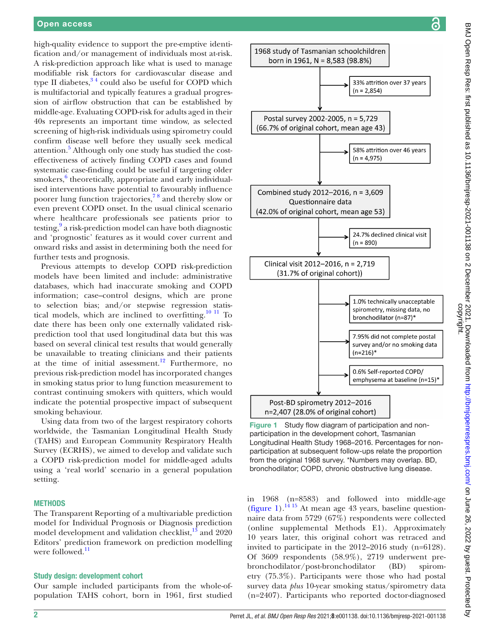high-quality evidence to support the pre-emptive identification and/or management of individuals most at-risk. A risk-prediction approach like what is used to manage modifiable risk factors for cardiovascular disease and type II diabetes,  $3<sup>4</sup>$  could also be useful for COPD which is multifactorial and typically features a gradual progression of airflow obstruction that can be established by middle-age. Evaluating COPD-risk for adults aged in their 40s represents an important time window, as selected screening of high-risk individuals using spirometry could confirm disease well before they usually seek medical attention.<sup>5</sup> Although only one study has studied the costeffectiveness of actively finding COPD cases and found systematic case-finding could be useful if targeting older smokers,<sup>[6](#page-10-3)</sup> theoretically, appropriate and early individualised interventions have potential to favourably influence poorer lung function trajectories,<sup>78</sup> and thereby slow or even prevent COPD onset. In the usual clinical scenario where healthcare professionals see patients prior to testing,<sup>[9](#page-11-1)</sup> a risk-prediction model can have both diagnostic and 'prognostic' features as it would cover current and onward risks and assist in determining both the need for further tests and prognosis.

Previous attempts to develop COPD risk-prediction models have been limited and include: administrative databases, which had inaccurate smoking and COPD information; case–control designs, which are prone to selection bias; and/or stepwise regression statistical models, which are inclined to overfitting.<sup>10 11</sup> To date there has been only one externally validated riskprediction tool that used longitudinal data but this was based on several clinical test results that would generally be unavailable to treating clinicians and their patients at the time of initial assessment.<sup>12</sup> Furthermore, no previous risk-prediction model has incorporated changes in smoking status prior to lung function measurement to contrast continuing smokers with quitters, which would indicate the potential prospective impact of subsequent smoking behaviour.

Using data from two of the largest respiratory cohorts worldwide, the Tasmanian Longitudinal Health Study (TAHS) and European Community Respiratory Health Survey (ECRHS), we aimed to develop and validate such a COPD risk-prediction model for middle-aged adults using a 'real world' scenario in a general population setting.

#### **METHODS**

The Transparent Reporting of a multivariable prediction model for Individual Prognosis or Diagnosis prediction model development and validation checklist, $1<sup>3</sup>$  and 2020 Editors' prediction framework on prediction modelling were followed.<sup>[11](#page-11-5)</sup>

### Study design: development cohort

Our sample included participants from the whole-ofpopulation TAHS cohort, born in 1961, first studied



<span id="page-1-0"></span>Figure 1 Study flow diagram of participation and nonparticipation in the development cohort, Tasmanian Longitudinal Health Study 1968–2016. Percentages for nonparticipation at subsequent follow-ups relate the proportion from the original 1968 survey. \*Numbers may overlap. BD, bronchodilator; COPD, chronic obstructive lung disease.

in 1968 (n=8583) and followed into middle-age [\(figure](#page-1-0) 1).<sup>14 15</sup> At mean age 43 years, baseline questionnaire data from 5729 (67%) respondents were collected [\(online supplemental Methods E1](https://dx.doi.org/10.1136/bmjresp-2021-001138)). Approximately 10 years later, this original cohort was retraced and invited to participate in the 2012–2016 study (n=6128). Of 3609 respondents (58.9%), 2719 underwent prebronchodilator/post-bronchodilator (BD) spirometry (75.3%). Participants were those who had postal survey data *plus* 10-year smoking status/spirometry data (n=2407). Participants who reported doctor-diagnosed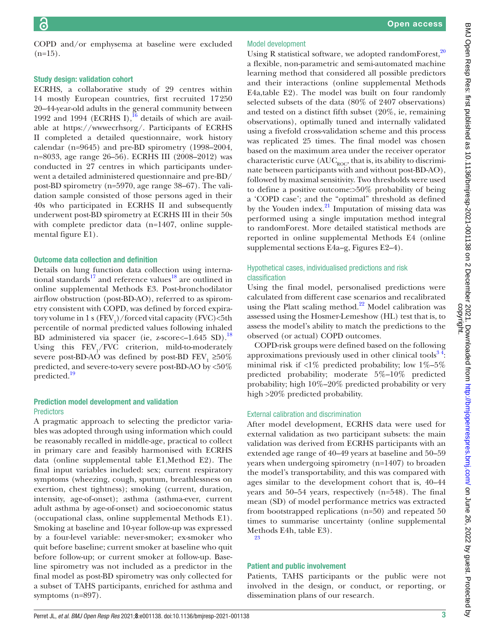COPD and/or emphysema at baseline were excluded  $(n=15)$ .

#### Study design: validation cohort

ECRHS, a collaborative study of 29 centres within 14 mostly European countries, first recruited 17250 20–44-year-old adults in the general community between 1992 and 1994 (ECRHS I),<sup>16</sup> details of which are available at <https://wwwecrhsorg/>. Participants of ECRHS II completed a detailed questionnaire, work history calendar (n=9645) and pre-BD spirometry (1998–2004, n=8033, age range 26–56). ECRHS III (2008–2012) was conducted in 27 centres in which participants underwent a detailed administered questionnaire and pre-BD/ post-BD spirometry (n=5970, age range 38–67). The validation sample consisted of those persons aged in their 40s who participated in ECRHS II and subsequently underwent post-BD spirometry at ECRHS III in their 50s with complete predictor data (n=1407, [online supple](https://dx.doi.org/10.1136/bmjresp-2021-001138)[mental figure E1](https://dx.doi.org/10.1136/bmjresp-2021-001138)).

#### Outcome data collection and definition

Details on lung function data collection using international standards $17$  and reference values $18$  are outlined in [online supplemental Methods E3.](https://dx.doi.org/10.1136/bmjresp-2021-001138) Post-bronchodilator airflow obstruction (post-BD-AO), referred to as spirometry consistent with COPD, was defined by forced expiratory volume in 1 s  $(\mathrm{FEV}_1)/\mathrm{forced}$  vital capacity  $(\mathrm{FVC})$ <5th percentile of normal predicted values following inhaled BD administered via spacer (ie,  $z$ -score $\le$ -1.645 SD).<sup>18</sup> Using this  $FEV_1/FVC$  criterion, mild-to-moderately severe post-BD-AO was defined by post-BD FEV<sub>1</sub> ≥50% predicted, and severe-to-very severe post-BD-AO by <50% predicted.[19](#page-11-10)

### Prediction model development and validation **Predictors**

A pragmatic approach to selecting the predictor variables was adopted through using information which could be reasonably recalled in middle-age, practical to collect in primary care and feasibly harmonised with ECRHS data [\(online supplemental table E1,Method E2\)](https://dx.doi.org/10.1136/bmjresp-2021-001138). The final input variables included: sex; current respiratory symptoms (wheezing, cough, sputum, breathlessness on exertion, chest tightness); smoking (current, duration, intensity, age-of-onset); asthma (asthma-ever, current adult asthma by age-of-onset) and socioeconomic status (occupational class, [online supplemental Methods E1](https://dx.doi.org/10.1136/bmjresp-2021-001138)). Smoking at baseline and 10-year follow-up was expressed by a four-level variable: never-smoker; ex-smoker who quit before baseline; current smoker at baseline who quit before follow-up; or current smoker at follow-up. Baseline spirometry was not included as a predictor in the final model as post-BD spirometry was only collected for a subset of TAHS participants, enriched for asthma and symptoms (n=897).

### Model development

Using R statistical software, we adopted randomForest, $20$ a flexible, non-parametric and semi-automated machine learning method that considered all possible predictors and their interactions ([online supplemental Methods](https://dx.doi.org/10.1136/bmjresp-2021-001138) [E4a,table E2\)](https://dx.doi.org/10.1136/bmjresp-2021-001138). The model was built on four randomly selected subsets of the data (80% of 2407 observations) and tested on a distinct fifth subset (20%, ie, remaining observations), optimally tuned and internally validated using a fivefold cross-validation scheme and this process was replicated 25 times. The final model was chosen based on the maximum area under the receiver operator characteristic curve ( $AUC_{\text{roco}}$ , that is, its ability to discriminate between participants with and without post-BD-AO), followed by maximal sensitivity. Two thresholds were used to define a positive outcome:>50% probability of being a 'COPD case'; and the "optimal" threshold as defined by the Youden index. $21$  Imputation of missing data was performed using a single imputation method integral to randomForest. More detailed statistical methods are reported in [online supplemental Methods E4 \(online](https://dx.doi.org/10.1136/bmjresp-2021-001138) [supplemental sections E4a–g, Figures E2–4](https://dx.doi.org/10.1136/bmjresp-2021-001138)).

# Hypothetical cases, individualised predictions and risk classification

Using the final model, personalised predictions were calculated from different case scenarios and recalibrated using the Platt scaling method.<sup>[22](#page-11-13)</sup> Model calibration was assessed using the Hosmer-Lemeshow (HL) test that is, to assess the model's ability to match the predictions to the observed (or actual) COPD outcomes.

COPD-risk groups were defined based on the following approximations previously used in other clinical tools $34$ : minimal risk if  $\langle 1\%$  predicted probability; low  $1\%$ –5% predicted probability; moderate 5%–10% predicted probability; high 10%–20% predicted probability or very high >20% predicted probability.

### External calibration and discrimination

After model development, ECRHS data were used for external validation as two participant subsets: the main validation was derived from ECRHS participants with an extended age range of 40–49 years at baseline and 50–59 years when undergoing spirometry (n=1407) to broaden the model's transportability, and this was compared with ages similar to the development cohort that is, 40–44 years and 50–54 years, respectively (n=548). The final mean (SD) of model performance metrics was extracted from bootstrapped replications (n=50) and repeated 50 times to summarise uncertainty ([online supplemental](https://dx.doi.org/10.1136/bmjresp-2021-001138) [Methods E4h, table E3](https://dx.doi.org/10.1136/bmjresp-2021-001138)). [23](#page-11-14)

#### Patient and public involvement

Patients, TAHS participants or the public were not involved in the design, or conduct, or reporting, or dissemination plans of our research.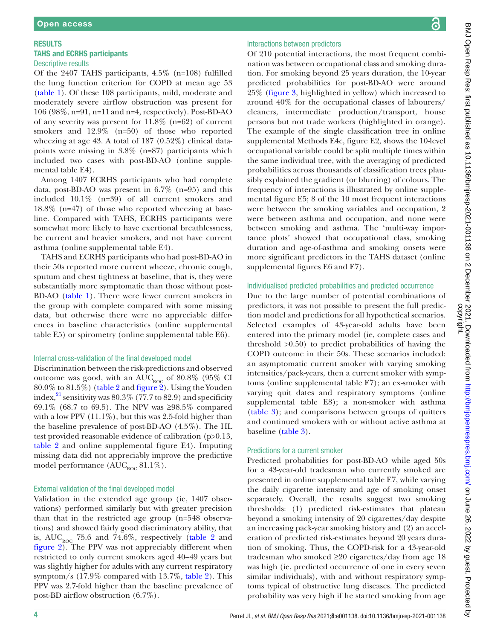### **RESULTS** TAHS and ECRHS participants Descriptive results

Of the 2407 TAHS participants, 4.5% (n=108) fulfilled the lung function criterion for COPD at mean age 53 [\(table](#page-4-0) 1). Of these 108 participants, mild, moderate and moderately severe airflow obstruction was present for 106 (98%, n=91, n=11and n=4, respectively). Post-BD-AO of any severity was present for 11.8% (n=62) of current smokers and 12.9% (n=50) of those who reported wheezing at age 43. A total of 187 (0.52%) clinical datapoints were missing in 3.8% (n=87) participants which included two cases with post-BD-AO ([online supple](https://dx.doi.org/10.1136/bmjresp-2021-001138)[mental table E4](https://dx.doi.org/10.1136/bmjresp-2021-001138)).

Among 1407 ECRHS participants who had complete data, post-BD-AO was present in 6.7% (n=95) and this included 10.1% (n=39) of all current smokers and 18.8% (n=47) of those who reported wheezing at baseline. Compared with TAHS, ECRHS participants were somewhat more likely to have exertional breathlessness, be current and heavier smokers, and not have current asthma [\(online supplemental table E4](https://dx.doi.org/10.1136/bmjresp-2021-001138)).

TAHS and ECRHS participants who had post-BD-AO in their 50s reported more current wheeze, chronic cough, sputum and chest tightness at baseline, that is, they were substantially more symptomatic than those without post-BD-AO [\(table](#page-4-0) 1). There were fewer current smokers in the group with complete compared with some missing data, but otherwise there were no appreciable differences in baseline characteristics [\(online supplemental](https://dx.doi.org/10.1136/bmjresp-2021-001138) [table E5](https://dx.doi.org/10.1136/bmjresp-2021-001138)) or spirometry ([online supplemental table E6\)](https://dx.doi.org/10.1136/bmjresp-2021-001138).

# Internal cross-validation of the final developed model

Discrimination between the risk-predictions and observed outcome was good, with an  $AUC_{ROC}$  of 80.8% (95% CI 80.0% to 81.5%) [\(table](#page-5-0) 2 and [figure](#page-6-0) 2). Using the Youden index, $^{21}$  $^{21}$  $^{21}$  sensitivity was 80.3% (77.7 to 82.9) and specificity 69.1% (68.7 to 69.5). The NPV was ≥98.5% compared with a low PPV (11.1%), but this was 2.5-fold higher than the baseline prevalence of post-BD-AO (4.5%). The HL test provided reasonable evidence of calibration (p>0.13, [table](#page-5-0) 2 and [online supplemental figure E4](https://dx.doi.org/10.1136/bmjresp-2021-001138)). Imputing missing data did not appreciably improve the predictive model performance  $(AUC<sub>ROC</sub> 81.1%).$ 

# External validation of the final developed model

Validation in the extended age group (ie, 1407 observations) performed similarly but with greater precision than that in the restricted age group (n=548 observations) and showed fairly good discriminatory ability, that is,  $AUC_{ROC}$  75.6 and 74.6%, respectively ([table](#page-5-0) 2 and [figure](#page-6-0) 2). The PPV was not appreciably different when restricted to only current smokers aged 40–49 years but was slightly higher for adults with any current respiratory symptom/s (17.9% compared with 13.7%, [table](#page-5-0) 2). This PPV was 2.7-fold higher than the baseline prevalence of post-BD airflow obstruction (6.7%).

# Interactions between predictors

Of 210 potential interactions, the most frequent combination was between occupational class and smoking duration. For smoking beyond 25 years duration, the 10-year predicted probabilities for post-BD-AO were around 25% [\(figure](#page-6-1) 3, highlighted in yellow) which increased to around 40% for the occupational classes of labourers/ cleaners, intermediate production/transport, house persons but not trade workers (highlighted in orange). The example of the single classification tree in [online](https://dx.doi.org/10.1136/bmjresp-2021-001138) [supplemental Methods E4c, figure E2,](https://dx.doi.org/10.1136/bmjresp-2021-001138) shows the 10-level occupational variable could be split multiple times within the same individual tree, with the averaging of predicted probabilities across thousands of classification trees plausibly explained the gradient (or blurring) of colours. The frequency of interactions is illustrated by [online supple](https://dx.doi.org/10.1136/bmjresp-2021-001138)[mental figure E5;](https://dx.doi.org/10.1136/bmjresp-2021-001138) 8 of the 10 most frequent interactions were between the smoking variables and occupation, 2 were between asthma and occupation, and none were between smoking and asthma. The 'multi-way importance plots' showed that occupational class, smoking duration and age-of-asthma and smoking onsets were more significant predictors in the TAHS dataset [\(online](https://dx.doi.org/10.1136/bmjresp-2021-001138) [supplemental figures E6 and E7](https://dx.doi.org/10.1136/bmjresp-2021-001138)).

# Individualised predicted probabilities and predicted occurrence

Due to the large number of potential combinations of predictors, it was not possible to present the full prediction model and predictions for all hypothetical scenarios. Selected examples of 43-year-old adults have been entered into the primary model (ie, complete cases and threshold >0.50) to predict probabilities of having the COPD outcome in their 50s. These scenarios included: an asymptomatic current smoker with varying smoking intensities/pack-years, then a current smoker with symptoms [\(online supplemental table E7\)](https://dx.doi.org/10.1136/bmjresp-2021-001138); an ex-smoker with varying quit dates and respiratory symptoms [\(online](https://dx.doi.org/10.1136/bmjresp-2021-001138) [supplemental table E8\)](https://dx.doi.org/10.1136/bmjresp-2021-001138); a non-smoker with asthma [\(table](#page-7-0) 3); and comparisons between groups of quitters and continued smokers with or without active asthma at baseline [\(table](#page-7-0) 3).

# Predictions for a current smoker

Predicted probabilities for post-BD-AO while aged 50s for a 43-year-old tradesman who currently smoked are presented in [online supplemental table E7](https://dx.doi.org/10.1136/bmjresp-2021-001138), while varying the daily cigarette intensity and age of smoking onset separately. Overall, the results suggest two smoking thresholds: (1) predicted risk-estimates that plateau beyond a smoking intensity of 20 cigarettes/day despite an increasing pack-year smoking history and (2) an acceleration of predicted risk-estimates beyond 20 years duration of smoking. Thus, the COPD-risk for a 43-year-old tradesman who smoked ≥20 cigarettes/day from age 18 was high (ie, predicted occurrence of one in every seven similar individuals), with and without respiratory symptoms typical of obstructive lung diseases. The predicted probability was very high if he started smoking from age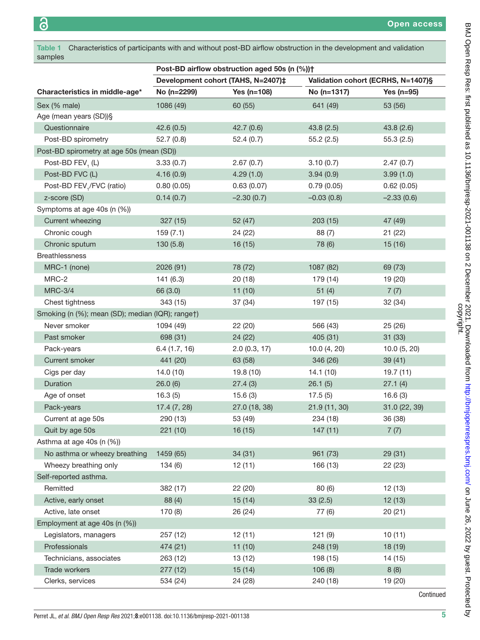<span id="page-4-0"></span>Table 1 Characteristics of participants with and without post-BD airflow obstruction in the development and validation samples

|                                                  | Post-BD airflow obstruction aged 50s (n (%)) <sup>+</sup> |                 |                                    |                |  |
|--------------------------------------------------|-----------------------------------------------------------|-----------------|------------------------------------|----------------|--|
|                                                  | Development cohort (TAHS, N=2407)‡                        |                 | Validation cohort (ECRHS, N=1407)§ |                |  |
| Characteristics in middle-age*                   | No (n=2299)                                               | Yes ( $n=108$ ) | No (n=1317)                        | Yes ( $n=95$ ) |  |
| Sex (% male)                                     | 1086 (49)                                                 | 60 (55)         | 641 (49)                           | 53 (56)        |  |
| Age (mean years (SD))§                           |                                                           |                 |                                    |                |  |
| Questionnaire                                    | 42.6(0.5)                                                 | 42.7(0.6)       | 43.8(2.5)                          | 43.8(2.6)      |  |
| Post-BD spirometry                               | 52.7(0.8)                                                 | 52.4(0.7)       | 55.2(2.5)                          | 55.3(2.5)      |  |
| Post-BD spirometry at age 50s (mean (SD))        |                                                           |                 |                                    |                |  |
| Post-BD FEV, (L)                                 | 3.33(0.7)                                                 | 2.67(0.7)       | 3.10(0.7)                          | 2.47(0.7)      |  |
| Post-BD FVC (L)                                  | 4.16(0.9)                                                 | 4.29(1.0)       | 3.94(0.9)                          | 3.99(1.0)      |  |
| Post-BD FEV <sub>1</sub> /FVC (ratio)            | 0.80(0.05)                                                | 0.63(0.07)      | 0.79(0.05)                         | 0.62(0.05)     |  |
| z-score (SD)                                     | 0.14(0.7)                                                 | $-2.30(0.7)$    | $-0.03(0.8)$                       | $-2.33(0.6)$   |  |
| Symptoms at age 40s (n (%))                      |                                                           |                 |                                    |                |  |
| Current wheezing                                 | 327 (15)                                                  | 52(47)          | 203(15)                            | 47 (49)        |  |
| Chronic cough                                    | 159(7.1)                                                  | 24 (22)         | 88 (7)                             | 21(22)         |  |
| Chronic sputum                                   | 130(5.8)                                                  | 16(15)          | 78 (6)                             | 15(16)         |  |
| <b>Breathlessness</b>                            |                                                           |                 |                                    |                |  |
| MRC-1 (none)                                     | 2026 (91)                                                 | 78 (72)         | 1087 (82)                          | 69 (73)        |  |
| MRC-2                                            | 141(6.3)                                                  | 20(18)          | 179 (14)                           | 19 (20)        |  |
| <b>MRC-3/4</b>                                   | 66 (3.0)                                                  | 11(10)          | 51(4)                              | 7(7)           |  |
| Chest tightness                                  | 343 (15)                                                  | 37 (34)         | 197 (15)                           | 32 (34)        |  |
| Smoking (n (%); mean (SD); median (IQR); ranget) |                                                           |                 |                                    |                |  |
| Never smoker                                     | 1094 (49)                                                 | 22(20)          | 566 (43)                           | 25 (26)        |  |
| Past smoker                                      | 698 (31)                                                  | 24 (22)         | 405 (31)                           | 31(33)         |  |
| Pack-years                                       | 6.4(1.7, 16)                                              | 2.0(0.3, 17)    | 10.0(4, 20)                        | 10.0(5, 20)    |  |
| <b>Current smoker</b>                            | 441 (20)                                                  | 63 (58)         | 346 (26)                           | 39(41)         |  |
| Cigs per day                                     | 14.0(10)                                                  | 19.8(10)        | 14.1(10)                           | 19.7 (11)      |  |
| Duration                                         | 26.0(6)                                                   | 27.4(3)         | 26.1(5)                            | 27.1(4)        |  |
| Age of onset                                     | 16.3(5)                                                   | 15.6(3)         | 17.5(5)                            | 16.6(3)        |  |
| Pack-years                                       | 17.4 (7, 28)                                              | 27.0 (18, 38)   | 21.9 (11, 30)                      | 31.0 (22, 39)  |  |
| Current at age 50s                               | 290 (13)                                                  | 53 (49)         | 234 (18)                           | 36 (38)        |  |
| Quit by age 50s                                  | 221(10)                                                   | 16 (15)         | 147(11)                            | 7(7)           |  |
| Asthma at age 40s (n (%))                        |                                                           |                 |                                    |                |  |
| No asthma or wheezy breathing                    | 1459 (65)                                                 | 34(31)          | 961 (73)                           | 29 (31)        |  |
| Wheezy breathing only                            | 134(6)                                                    | 12(11)          | 166 (13)                           | 22 (23)        |  |
| Self-reported asthma.                            |                                                           |                 |                                    |                |  |
| Remitted                                         | 382 (17)                                                  | 22 (20)         | 80(6)                              | 12 (13)        |  |
| Active, early onset                              | 88 (4)                                                    | 15(14)          | 33(2.5)                            | 12(13)         |  |
| Active, late onset                               | 170 (8)                                                   | 26 (24)         | 77 (6)                             | 20(21)         |  |
| Employment at age 40s (n (%))                    |                                                           |                 |                                    |                |  |
| Legislators, managers                            | 257 (12)                                                  | 12(11)          | 121(9)                             | 10(11)         |  |
| Professionals                                    | 474 (21)                                                  | 11(10)          | 248 (19)                           | 18 (19)        |  |
| Technicians, associates                          | 263 (12)                                                  | 13 (12)         | 198 (15)                           | 14 (15)        |  |
| Trade workers                                    | 277 (12)                                                  | 15(14)          | 106(8)                             | 8(8)           |  |
| Clerks, services                                 | 534 (24)                                                  | 24 (28)         | 240 (18)                           | 19 (20)        |  |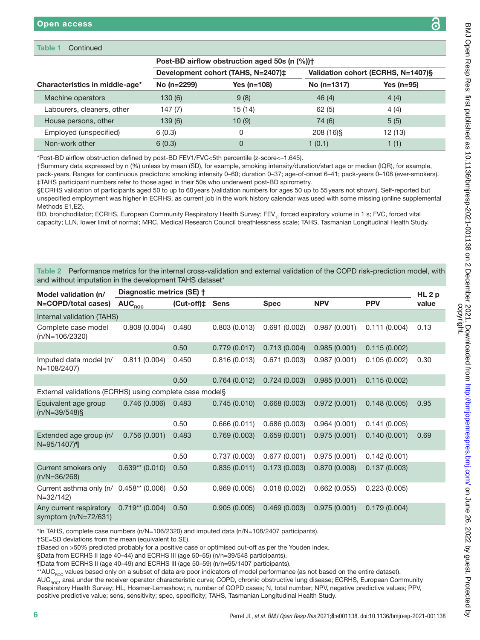|                                | Post-BD airflow obstruction aged 50s (n (%)) <sup>+</sup> |               |                                    |                |
|--------------------------------|-----------------------------------------------------------|---------------|------------------------------------|----------------|
|                                | Development cohort (TAHS, N=2407)‡                        |               | Validation cohort (ECRHS, N=1407)§ |                |
| Characteristics in middle-age* | No (n=2299)                                               | Yes $(n=108)$ | No (n=1317)                        | Yes ( $n=95$ ) |
| Machine operators              | 130 (6)                                                   | 9(8)          | 46(4)                              | 4(4)           |
| Labourers, cleaners, other     | 147 (7)                                                   | 15 (14)       | 62(5)                              | 4(4)           |
| House persons, other           | 139 (6)                                                   | 10(9)         | 74 (6)                             | 5(5)           |
| Employed (unspecified)         | 6(0.3)                                                    | 0             | $208(16)\$                         | 12(13)         |
| Non-work other                 | 6(0.3)                                                    | $\Omega$      | 1(0.1)                             | 1(1)           |

\*Post-BD airflow obstruction defined by post-BD FEV1/FVC<5th percentile (z-score<–1.645).

†Summary data expressed by n (%) unless by mean (SD), for example, smoking intensity/duration/start age or median (IQR), for example, pack-years. Ranges for continuous predictors: smoking intensity 0–60; duration 0–37; age-of-onset 6–41; pack-years 0–108 (ever-smokers). ‡TAHS participant numbers refer to those aged in their 50s who underwent post-BD spirometry.

§ECRHS validation of participants aged 50 to up to 60years (validation numbers for ages 50 up to 55years not shown). Self-reported but unspecified employment was higher in ECRHS, as current job in the work history calendar was used with some missing [\(online supplemental](https://dx.doi.org/10.1136/bmjresp-2021-001138)  [Methods E1,E2\)](https://dx.doi.org/10.1136/bmjresp-2021-001138).

BD, bronchodilator; ECRHS, European Community Respiratory Health Survey; FEV<sub>1</sub>, forced expiratory volume in 1 s; FVC, forced vital capacity; LLN, lower limit of normal; MRC, Medical Research Council breathlessness scale; TAHS, Tasmanian Longitudinal Health Study.

<span id="page-5-0"></span>Table 2 Performance metrics for the internal cross-validation and external validation of the COPD risk-prediction model, with and without imputation in the development TAHS dataset\*

| Model validation (n/                                    | Diagnostic metrics (SE) †   |            |              |              |              | HL 2 p       |       |
|---------------------------------------------------------|-----------------------------|------------|--------------|--------------|--------------|--------------|-------|
| N=COPD/total cases)                                     | $\mathsf{AUC}_\mathsf{ROC}$ | (Cut-off)‡ | <b>Sens</b>  | <b>Spec</b>  | <b>NPV</b>   | <b>PPV</b>   | value |
| Internal validation (TAHS)                              |                             |            |              |              |              |              |       |
| Complete case model<br>$(n/N=106/2320)$                 | 0.808(0.004)                | 0.480      | 0.803(0.013) | 0.691(0.002) | 0.987(0.001) | 0.111(0.004) | 0.13  |
|                                                         |                             | 0.50       | 0.779(0.017) | 0.713(0.004) | 0.985(0.001) | 0.115(0.002) |       |
| Imputed data model (n/<br>N=108/2407)                   | 0.811(0.004)                | 0.450      | 0.816(0.013) | 0.671(0.003) | 0.987(0.001) | 0.105(0.002) | 0.30  |
|                                                         |                             | 0.50       | 0.764(0.012) | 0.724(0.003) | 0.985(0.001) | 0.115(0.002) |       |
| External validations (ECRHS) using complete case model§ |                             |            |              |              |              |              |       |
| Equivalent age group<br>$(n/N=39/548)$                  | 0.746(0.006)                | 0.483      | 0.745(0.010) | 0.668(0.003) | 0.972(0.001) | 0.148(0.005) | 0.95  |
|                                                         |                             | 0.50       | 0.666(0.011) | 0.686(0.003) | 0.964(0.001) | 0.141(0.005) |       |
| Extended age group (n/<br>$N = 95/1407$                 | 0.756(0.001)                | 0.483      | 0.769(0.003) | 0.659(0.001) | 0.975(0.001) | 0.140(0.001) | 0.69  |
|                                                         |                             | 0.50       | 0.737(0.003) | 0.677(0.001) | 0.975(0.001) | 0.142(0.001) |       |
| Current smokers only<br>$(n/N=36/268)$                  | $0.639**$ (0.010)           | 0.50       | 0.835(0.011) | 0.173(0.003) | 0.870(0.008) | 0.137(0.003) |       |
| Current asthma only (n/<br>$N = 32/142$                 | $0.458**$ (0.006)           | 0.50       | 0.969(0.005) | 0.018(0.002) | 0.662(0.055) | 0.223(0.005) |       |
| Any current respiratory<br>symptom $(n/N=72/631)$       | $0.719**$ (0.004)           | 0.50       | 0.905(0.005) | 0.469(0.003) | 0.975(0.001) | 0.179(0.004) |       |

\*In TAHS, complete case numbers (n/N=106/2320) and imputed data (n/N=108/2407 participants).

†SE=SD deviations from the mean (equivalent to SE).

‡Based on >50% predicted probably for a positive case or optimised cut-off as per the Youden index.

§Data from ECRHS II (age 40–44) and ECRHS III (age 50–55) (n/n=39/548 participants).

¶Data from ECRHS II (age 40–49) and ECRHS III (age 50–59) (n/n=95/1407 participants).

\*\*AUC<sub>ROC</sub> values based only on a subset of data are poor indicators of model performance (as not based on the entire dataset). AUC<sub>ROC</sub>, area under the receiver operator characteristic curve; COPD, chronic obstructive lung disease; ECRHS, European Community Respiratory Health Survey; HL, Hosmer-Lemeshow; n, number of COPD cases; N, total number; NPV, negative predictive values; PPV, positive predictive value; sens, sensitivity; spec, specificity; TAHS, Tasmanian Longitudinal Health Study.

ζą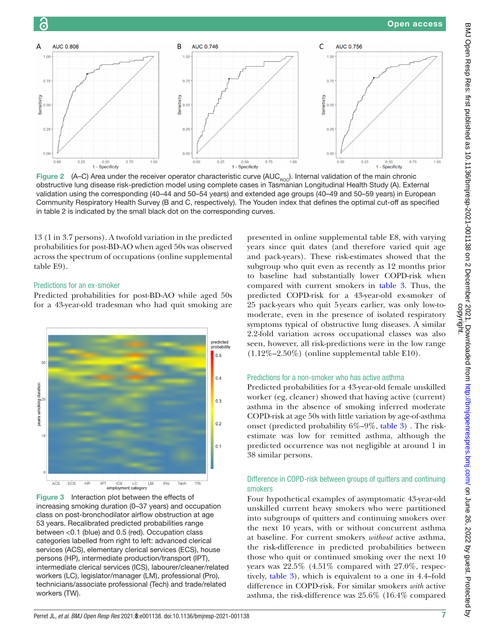

<span id="page-6-0"></span>Figure 2 (A–C) Area under the receiver operator characteristic curve (AUC<sub>ROC</sub>). Internal validation of the main chronic obstructive lung disease risk-prediction model using complete cases in Tasmanian Longitudinal Health Study (A). External validation using the corresponding (40–44 and 50–54 years) and extended age groups (40–49 and 50–59 years) in European Community Respiratory Health Survey (B and C, respectively). The Youden index that defines the optimal cut-off as specified in [table 2](#page-5-0) is indicated by the small black dot on the corresponding curves.

13 (1 in 3.7 persons). A twofold variation in the predicted probabilities for post-BD-AO when aged 50s was observed across the spectrum of occupations ([online supplemental](https://dx.doi.org/10.1136/bmjresp-2021-001138) [table E9](https://dx.doi.org/10.1136/bmjresp-2021-001138)).

#### Predictions for an ex-smoker

Predicted probabilities for post-BD-AO while aged 50s for a 43-year-old tradesman who had quit smoking are



<span id="page-6-1"></span>Figure 3 Interaction plot between the effects of increasing smoking duration (0–37 years) and occupation class on post-bronchodilator airflow obstruction at age 53 years. Recalibrated predicted probabilities range between <0.1 (blue) and 0.5 (red). Occupation class categories labelled from right to left: advanced clerical services (ACS), elementary clerical services (ECS), house persons (HP), intermediate production/transport (IPT), intermediate clerical services (ICS), labourer/cleaner/related workers (LC), legislator/manager (LM), professional (Pro), technicians/associate professional (Tech) and trade/related workers (TW).

presented in [online supplemental table E8,](https://dx.doi.org/10.1136/bmjresp-2021-001138) with varying years since quit dates (and therefore varied quit age and pack-years). These risk-estimates showed that the subgroup who quit even as recently as 12 months prior to baseline had substantially lower COPD-risk when compared with current smokers in [table](#page-7-0) 3. Thus, the predicted COPD-risk for a 43-year-old ex-smoker of 25 pack-years who quit 5years earlier, was only low-tomoderate, even in the presence of isolated respiratory symptoms typical of obstructive lung diseases. A similar 2.2-fold variation across occupational classes was also seen, however, all risk-predictions were in the low range  $(1.12\% - 2.50\%)$  [\(online supplemental table E10](https://dx.doi.org/10.1136/bmjresp-2021-001138)).

#### Predictions for a non-smoker who has active asthma

Predicted probabilities for a 43-year-old female unskilled worker (eg, cleaner) showed that having active (current) asthma in the absence of smoking inferred moderate COPD-risk at age 50s with little variation by age-of-asthma onset (predicted probability 6%–9%, [table](#page-7-0) 3) . The riskestimate was low for remitted asthma, although the predicted occurrence was not negligible at around 1 in 38 similar persons.

### Difference in COPD-risk between groups of quitters and continuing smokers

Four hypothetical examples of asymptomatic 43-year-old unskilled current heavy smokers who were partitioned into subgroups of quitters and continuing smokers over the next 10 years, with or without concurrent asthma at baseline. For current smokers *without* active asthma, the risk-difference in predicted probabilities between those who quit or continued smoking over the next 10 years was 22.5% (4.51% compared with 27.0%, respectively, [table](#page-7-0) 3), which is equivalent to a one in 4.4–fold difference in COPD-risk. For similar smokers *with* active asthma, the risk-difference was 25.6% (16.4% compared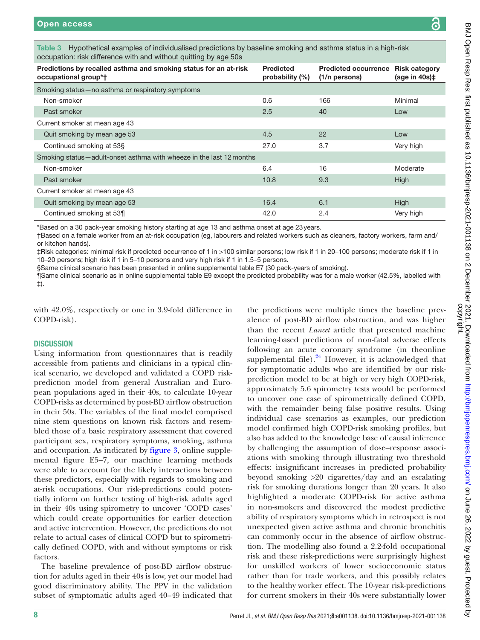<span id="page-7-0"></span>Table 3 Hypothetical examples of individualised predictions by baseline smoking and asthma status in a high-risk occupation: risk difference with and without quitting by age 50s

| Predictions by recalled asthma and smoking status for an at-risk<br>occupational group*† | <b>Predicted</b><br>probability $(\%)$ | <b>Predicted occurrence</b><br>(1/n persons) | <b>Risk category</b><br>(age in $40s$ ) $\ddagger$ |
|------------------------------------------------------------------------------------------|----------------------------------------|----------------------------------------------|----------------------------------------------------|
| Smoking status - no asthma or respiratory symptoms                                       |                                        |                                              |                                                    |
| Non-smoker                                                                               | 0.6                                    | 166                                          | Minimal                                            |
| Past smoker                                                                              | 2.5                                    | 40                                           | Low                                                |
| Current smoker at mean age 43                                                            |                                        |                                              |                                                    |
| Quit smoking by mean age 53                                                              | 4.5                                    | 22                                           | Low                                                |
| Continued smoking at 53§                                                                 | 27.0                                   | 3.7                                          | Very high                                          |
| Smoking status—adult-onset asthma with wheeze in the last 12 months                      |                                        |                                              |                                                    |
| Non-smoker                                                                               | 6.4                                    | 16                                           | Moderate                                           |
| Past smoker                                                                              | 10.8                                   | 9.3                                          | High                                               |
| Current smoker at mean age 43                                                            |                                        |                                              |                                                    |
| Quit smoking by mean age 53                                                              | 16.4                                   | 6.1                                          | High                                               |
| Continued smoking at 53¶                                                                 | 42.0                                   | 2.4                                          | Very high                                          |

\*Based on a 30 pack-year smoking history starting at age 13 and asthma onset at age 23years.

†Based on a female worker from an at-risk occupation (eg, labourers and related workers such as cleaners, factory workers, farm and/ or kitchen hands).

‡Risk categories: minimal risk if predicted occurrence of 1 in >100 similar persons; low risk if 1 in 20–100 persons; moderate risk if 1 in 10–20 persons; high risk if 1 in 5–10 persons and very high risk if 1 in 1.5–5 persons.

§Same clinical scenario has been presented in [online supplemental table E7](https://dx.doi.org/10.1136/bmjresp-2021-001138) (30 pack-years of smoking).

¶Same clinical scenario as in [online supplemental table E9](https://dx.doi.org/10.1136/bmjresp-2021-001138) except the predicted probability was for a male worker (42.5%, labelled with ‡).

with 42.0%, respectively or one in 3.9-fold difference in COPD-risk).

#### **DISCUSSION**

Using information from questionnaires that is readily accessible from patients and clinicians in a typical clinical scenario, we developed and validated a COPD riskprediction model from general Australian and European populations aged in their 40s, to calculate 10-year COPD-risks as determined by post-BD airflow obstruction in their 50s. The variables of the final model comprised nine stem questions on known risk factors and resembled those of a basic respiratory assessment that covered participant sex, respiratory symptoms, smoking, asthma and occupation. As indicated by [figure](#page-6-1) 3, [online supple](https://dx.doi.org/10.1136/bmjresp-2021-001138)[mental figure E5–7,](https://dx.doi.org/10.1136/bmjresp-2021-001138) our machine learning methods were able to account for the likely interactions between these predictors, especially with regards to smoking and at-risk occupations. Our risk-predictions could potentially inform on further testing of high-risk adults aged in their 40s using spirometry to uncover 'COPD cases' which could create opportunities for earlier detection and active intervention. However, the predictions do not relate to actual cases of clinical COPD but to spirometrically defined COPD, with and without symptoms or risk factors.

The baseline prevalence of post-BD airflow obstruction for adults aged in their 40s is low, yet our model had good discriminatory ability. The PPV in the validation subset of symptomatic adults aged 40–49 indicated that

the predictions were multiple times the baseline prevalence of post-BD airflow obstruction, and was higher than the recent *Lancet* article that presented machine learning-based predictions of non-fatal adverse effects following an acute coronary syndrome (in th[eonline](https://dx.doi.org/10.1136/bmjresp-2021-001138) [supplemental file](https://dx.doi.org/10.1136/bmjresp-2021-001138)). $^{24}$  However, it is acknowledged that for symptomatic adults who are identified by our riskprediction model to be at high or very high COPD-risk, approximately 5.6 spirometry tests would be performed to uncover one case of spirometrically defined COPD, with the remainder being false positive results. Using individual case scenarios as examples, our prediction model confirmed high COPD-risk smoking profiles, but also has added to the knowledge base of causal inference by challenging the assumption of dose–response associations with smoking through illustrating two threshold effects: insignificant increases in predicted probability beyond smoking >20 cigarettes/day and an escalating risk for smoking durations longer than 20 years. It also highlighted a moderate COPD-risk for active asthma in non-smokers and discovered the modest predictive ability of respiratory symptoms which in retrospect is not unexpected given active asthma and chronic bronchitis can commonly occur in the absence of airflow obstruction. The modelling also found a 2.2-fold occupational risk and these risk-predictions were surprisingly highest for unskilled workers of lower socioeconomic status rather than for trade workers, and this possibly relates to the healthy worker effect. The 10-year risk-predictions for current smokers in their 40s were substantially lower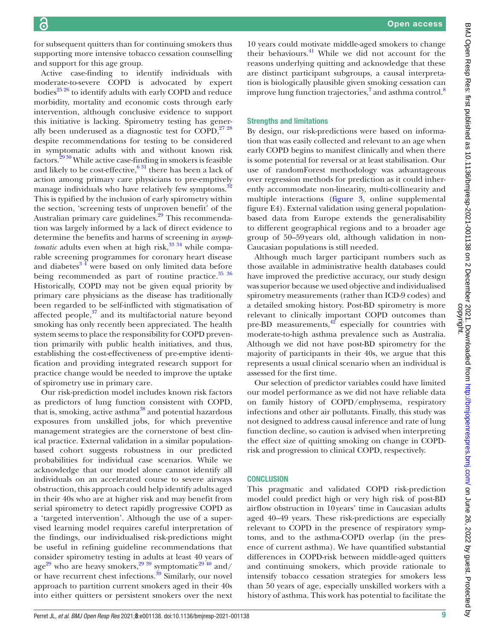for subsequent quitters than for continuing smokers thus supporting more intensive tobacco cessation counselling and support for this age group.

Active case-finding to identify individuals with moderate-to-severe COPD is advocated by expert bodies $^{25\,26}$  to identify adults with early COPD and reduce morbidity, mortality and economic costs through early intervention, although conclusive evidence to support this initiative is lacking. Spirometry testing has generally been underused as a diagnostic test for COPD, $27 28$ despite recommendations for testing to be considered in symptomatic adults with and without known risk factors.[29 30](#page-11-18) While active case-finding in smokers is feasible and likely to be cost-effective,  $6 \frac{31}{10}$  there has been a lack of action among primary care physicians to pre-emptively manage individuals who have relatively few symptoms.<sup>32</sup> This is typified by the inclusion of early spirometry within the section, 'screening tests of unproven benefit' of the Australian primary care guidelines.<sup>29</sup> This recommendation was largely informed by a lack of direct evidence to determine the benefits and harms of screening in *asymptomatic* adults even when at high risk, $33 \frac{34}{1}$  while comparable screening programmes for coronary heart disease and diabetes $3<sup>4</sup>$  were based on only limited data before being recommended as part of routine practice.<sup>35</sup> <sup>36</sup> Historically, COPD may not be given equal priority by primary care physicians as the disease has traditionally been regarded to be self-inflicted with stigmatisation of affected people, $37$  and its multifactorial nature beyond smoking has only recently been appreciated. The health system seems to place the responsibility for COPD prevention primarily with public health initiatives, and thus, establishing the cost-effectiveness of pre-emptive identification and providing integrated research support for practice change would be needed to improve the uptake of spirometry use in primary care.

Our risk-prediction model includes known risk factors as predictors of lung function consistent with COPD, that is, smoking, active asthma<sup>[38](#page-11-23)</sup> and potential hazardous exposures from unskilled jobs, for which preventive management strategies are the cornerstone of best clinical practice. External validation in a similar populationbased cohort suggests robustness in our predicted probabilities for individual case scenarios. While we acknowledge that our model alone cannot identify all individuals on an accelerated course to severe airways obstruction, this approach could help identify adults aged in their 40s who are at higher risk and may benefit from serial spirometry to detect rapidly progressive COPD as a 'targeted intervention'. Although the use of a supervised learning model requires careful interpretation of the findings, our individualised risk-predictions might be useful in refining guideline recommendations that consider spirometry testing in adults at least 40 years of age<sup>29</sup> who are heavy smokers,<sup>[29](#page-11-18) 39</sup> symptomatic<sup>29 40</sup> and/ or have recurrent chest infections.<sup>39</sup> Similarly, our novel approach to partition current smokers aged in their 40s into either quitters or persistent smokers over the next

10 years could motivate middle-aged smokers to change their behaviours. $41$  While we did not account for the reasons underlying quitting and acknowledge that these are distinct participant subgroups, a causal interpretation is biologically plausible given smoking cessation can improve lung function trajectories,<sup>[7](#page-11-0)</sup> and asthma control.<sup>[8](#page-11-26)</sup>

### Strengths and limitations

By design, our risk-predictions were based on information that was easily collected and relevant to an age when early COPD begins to manifest clinically and when there is some potential for reversal or at least stabilisation. Our use of randomForest methodology was advantageous over regression methods for prediction as it could inherently accommodate non-linearity, multi-collinearity and multiple interactions ([figure](#page-6-1) 3, [online supplemental](https://dx.doi.org/10.1136/bmjresp-2021-001138) [figure E4\)](https://dx.doi.org/10.1136/bmjresp-2021-001138). External validation using general populationbased data from Europe extends the generalisability to different geographical regions and to a broader age group of 50–59years old, although validation in non-Caucasian populations is still needed.

Although much larger participant numbers such as those available in administrative health databases could have improved the predictive accuracy, our study design was superior because we used objective and individualised spirometry measurements (rather than ICD-9 codes) and a detailed smoking history. Post-BD spirometry is more relevant to clinically important COPD outcomes than pre-BD measurements, $42$  especially for countries with moderate-to-high asthma prevalence such as Australia. Although we did not have post-BD spirometry for the majority of participants in their 40s, we argue that this represents a usual clinical scenario when an individual is assessed for the first time.

Our selection of predictor variables could have limited our model performance as we did not have reliable data on family history of COPD/emphysema, respiratory infections and other air pollutants. Finally, this study was not designed to address causal inference and rate of lung function decline, so caution is advised when interpreting the effect size of quitting smoking on change in COPDrisk and progression to clinical COPD, respectively.

# **CONCLUSION**

This pragmatic and validated COPD risk-prediction model could predict high or very high risk of post-BD airflow obstruction in 10years' time in Caucasian adults aged 40–49 years. These risk-predictions are especially relevant to COPD in the presence of respiratory symptoms, and to the asthma-COPD overlap (in the presence of current asthma). We have quantified substantial differences in COPD-risk between middle-aged quitters and continuing smokers, which provide rationale to intensify tobacco cessation strategies for smokers less than 50 years of age, especially unskilled workers with a history of asthma. This work has potential to facilitate the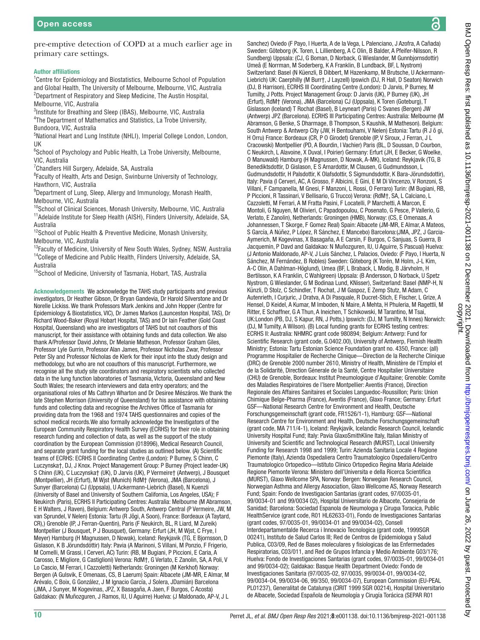pre-emptive detection of COPD at a much earlier age in primary care settings.

#### Author affiliations

<sup>1</sup> Centre for Epidemiology and Biostatistics, Melbourne School of Population and Global Health, The University of Melbourne, Melbourne, VIC, Australia <sup>2</sup>Department of Respiratory and Sleep Medicine, The Austin Hospital, Melbourne, VIC, Australia

3 Institute for Breathing and Sleep (IBAS), Melbourne, VIC, Australia 4 The Department of Mathematics and Statistics, La Trobe University, Bundoora, VIC, Australia

<sup>5</sup>National Heart and Lung Institute (NHLI), Imperial College London, London, UK

<sup>6</sup>School of Psychology and Public Health, La Trobe University, Melbourne, VIC, Australia

7 Chandlers Hill Surgery, Adelaide, SA, Australia

<sup>8</sup> Faculty of Health, Arts and Design, Swinburne University of Technology, Hawthorn, VIC, Australia

9 Department of Lung, Sleep, Allergy and Immunology, Monash Health, Melbourne, VIC, Australia

<sup>10</sup>School of Clinical Sciences, Monash University, Melbourne, VIC, Australia <sup>11</sup>Adelaide Institute for Sleep Health (AISH), Flinders University, Adelaide, SA, Australia

<sup>12</sup>School of Public Health & Preventive Medicine, Monash University, Melbourne, VIC, Australia

<sup>13</sup>Faculty of Medicine, University of New South Wales, Sydney, NSW, Australia <sup>14</sup>College of Medicine and Public Health, Flinders University, Adelaide, SA, Australia

<sup>15</sup>School of Medicine, University of Tasmania, Hobart, TAS, Australia

Acknowledgements We acknowledge the TAHS study participants and previous investigators, Dr Heather Gibson, Dr Bryan Gandevia, Dr Harold Silverstone and Dr Norelle Lickiss. We thank Professors Mark Jenkins and John Hopper (Centre for Epidemiology & Biostatistics, VIC), Dr James Markos (Launceston Hospital, TAS), Dr Richard Wood-Baker (Royal Hobart Hospital, TAS) and Dr Iain Feather (Gold Coast Hospital, Queensland) who are investigators of TAHS but not coauthors of this manuscript, for their assistance with obtaining funds and data collection. We also thank A/Professor David Johns, Dr Melanie Matheson, Professor Graham Giles, Professor Lyle Gurrin, Professor Alan James, Professor Nicholas Zwar, Professor Peter Sly and Professor Nicholas de Klerk for their input into the study design and methodology, but who are not coauthors of this manuscript. Furthermore, we recognise all the study site coordinators and respiratory scientists who collected data in the lung function laboratories of Tasmania, Victoria, Queensland and New South Wales; the research interviewers and data entry operators; and the organisational roles of Ms Cathryn Wharton and Dr Desiree Mészáros. We thank the late Stephen Morrison (University of Queensland) for his assistance with obtaining funds and collecting data and recognise the Archives Office of Tasmania for providing data from the 1968 and 1974 TAHS questionnaires and copies of the school medical records.We also formally acknowledge the Investigators of the European Community Respiratory Health Survey (ECRHS) for their role in obtaining research funding and collection of data, as well as the support of the study coordination by the European Commission (018996), Medical Research Council, and separate grant funding for the local studies as outlined below. (A) Scientific teams of ECRHS: ECRHS II Coordinating Centre (London): P Burney, S Chinn, C Luczynska†, DJ, J Knox. Project Management Group: P Burney (Project leader-UK) S Chinn (UK), C Luczynska† (UK), D Jarvis (UK), P Vermeire† (Antwerp), J Bousquet (Montpellier), JH (Erfurt), M Wjst (Munich) RdM† (Verona), JMA (Barcelona), J Sunyer (Barcelona) CJ (Uppsala), U Ackermann-Liebrich (Basel), N Kuenzli (University of Basel and University of Southern California, Los Angeles, USA); F Neukirch (Paris), ECRHS II Participating Centres: Australia: Melbourne (M Abramson, E H Walters, J Raven), Belgium: Antwerp South, Antwerp Central (P Vermeire, JW, M van Sprundel, V Nelen) Estonia: Tartu (R Jõgi, A Soon), France: Bordeaux (A Taytard, CR),) Grenoble (IP, J Ferran-Quentin), Paris (F Neukirch, BL, R Liard, M Zureik) Montpellier (J Bousquet, P J Bousquet), Germany: Erfurt (JH, M Wjst, C Frye, I Meyer) Hamburg (H Magnussen, D Nowak), Iceland: Reykjavik (TG, E Bjornsson, D Gislason, K B Jörundsdóttir) Italy: Pavia (A Marinoni, S Villani, M Ponzio, F Frigerio, M Comelli, M Grassi, I Cerveri, AC) Turin: (RB, M Bugiani, P Piccioni, E Caria, A Carosso, E Migliore, G Castiglioni) Verona: RdM†, G Verlato, E Zanolin, SA, A Poli, V Lo Cascio, M Ferrari, I Cazzoletti) Netherlands: Groningen (M Kerkhof) Norway: Bergen (A Gulsvik, E Omenaas, CS, B Laerum) Spain: Albacete (JM-MR, E Almar, M Arévalo, C Boix, G González, J M Ignacio García, J Solera, JDamián) Barcelona (JMA, J Sunyer, M Kogevinas, JPZ, X Basagaña, A Jaen, F Burgos, C Acosta) Galdakao: (N Muñozguren, J Ramos, IU, U Aguirre) Huelva: (J Maldonado, AP-V, J L

Umeå (E Norrman, M Soderberg, K A Franklin, B Lundback, BF, L Nystrom) Switzerland: Basel (N Küenzli, B Dibbert, M Hazenkamp, M Brutsche, U Ackermann-Liebrich) UK: Caerphilly (M Burr†, J Layzell) Ipswich (DJ, R Hall, D Seaton) Norwich (DJ, B Harrison), ECRHS III Coordinating Centre (London): D Jarvis, P Burney, M Tumilty, J Potts. Project Management Group: D Jarvis (UK), P Burney (UK), JH (Erfurt), RdM† (Verona), JMA (Barcelona) CJ (Uppsala), K Toren (Goteburg), T Gislasson (Iceland) T Rochat (Basel), B Leyneart (Paris) C Svanes (Bergen) JW (Antwerp) JPZ (Barcelona). ECRHS III Participating Centres: Australia: Melbourne (M Abramson, G Benke, S Dharmage, B Thompson, S Kaushik, M Matheson). Belgium: South Antwerp & Antwerp City (JW, H Bentouhami, V Nelen) Estonia: Tartu (R J õ gi, H Orru) France: Bordeaux (CR, P O Girodet) Grenoble (IP, V Siroux, J Ferran, J L Cracowski) Montpellier (PD, A Bourdin, I Vachier) Paris (BL, D Soussan, D Courbon, C Neukirch, L Alavoine, X Duval, I Poirier) Germany: Erfurt (JH, E Becker, G Woelke, O Manuwald) Hamburg (H Magnussen, D Nowak, A-MK), Iceland: Reykjavik (TG, B Benediktsdottir, D Gislason, E S Arnardottir, M Clausen, G Gudmundsson, L Gudmundsdottir, H Palsdottir, K Olafsdottir, S Sigmundsdottir, K Bara-Jörundsdottir), Italy: Pavia (I Cerveri, AC, A Grosso, F Albicini, E Gini, E M Di Vincenzo, V Ronzoni, S Villani, F Campanella, M Gnesi, F Manzoni, L Rossi, O Ferraro) Turin: (M Bugiani, RB, P Piccioni, R Tassinari, V Bellisario, G Trucco) Verona: (RdM†, SA, L Calciano, L Cazzoletti, M Ferrari, A M Fratta Pasini, F Locatelli, P Marchetti, A Marcon, E Montoli, G Nguyen, M Olivieri, C Papadopoulou, C Posenato, G Pesce, P Vallerio, G Verlato, E Zanolin), Netherlands: Groningen (HMB), Norway: (CS, E Omenaas, A Johannessen, T Skorge, F Gomez Real) Spain: Albacete (JM-MR, E Almar, A Mateos, S García, A Núñez, P López, R Sánchez, E Mancebo) Barcelona:(JMA, JPZ, J Garcia-Aymerich, M Kogevinas, X Basagaña, A E Carsin, F Burgos, C Sanjuas, S Guerra, B Jacquemin, P Davd and Galdakao: N Muñozguren, IU, U Aguirre, S Pascual) Huelva: (J Antonio Maldonado, AP-V, J Luis Sánchez, L Palacios, Oviedo: (F Payo, I Huerta, N Sánchez, M Fernández, B Robles) Sweden: Göteborg (K Torén, M Holm, J-L Kim, A-C Olin, A Dahlman-Höglund), Umea (BF, L Braback, L Modig, B Järvholm, H Bertilsson, K A Franklin, C Wahlgreen) Uppsala: (B Andersson, D Norback, U Spetz Nystrom, G Wieslander, G M Bodinaa Lund, KNisser), Switzerland: Basel (NMP-H, N Künzli, D Stolz, C Schindler, T Rochat, J M Gaspoz, E Zemp Stutz, M Adam, C Autenrieth, I Curjuric, J Dratva, A Di Pasquale, R Ducret-Stich, E Fischer, L Grize, A Hensel, D Keidel, A Kumar, M Imboden, N Maire, A Mehta, H Phuleria, M Ragettli, M Ritter, E Schaffner, G A Thun, A Ineichen, T Schikowski, M Tarantino, M Tsai, UK:London (PB, DJ, S Kapur, RN, J Potts,) Ipswich: (DJ, M Tumilty, N Innes) Norwich: (DJ, M Tumilty, A Wilson). (B) Local funding grants for ECRHS testing centres: ECRHS II: Australia: NHMRC grant code 980894; Belgium: Antwerp: Fund for Scientific Research (grant code, G.0402.00), University of Antwerp, Flemish Health Ministry; Estonia: Tartu Estonian Science Foundation grant no. 4350, France: (all) Programme Hospitalier de Recherche Clinique—Direction de la Recherche Clinique (DRC) de Grenoble 2000 number 2610, Ministry of Health, Ministère de l'Emploi et de la Solidarité, Direction Génerale de la Santé, Centre Hospitalier Universitaire (CHU) de Grenoble, Bordeaux: Institut Pneumologique d'Aquitaine; Grenoble: Comite des Maladies Respiratoires de l'Isere Montpellier: Aventis (France), Direction Regionale des Affaires Sanitaires et Sociales Languedoc-Roussillon; Paris: Union Chimique Belge-Pharma (France), Aventis (France), Glaxo France; Germany: Erfurt GSF—National Research Centre for Environment and Health, Deutsche Forschungsgemeinschaft (grant code, FR1526/1-1), Hamburg: GSF—National Research Centre for Environment and Health, Deutsche Forschungsgemeinschaft (grant code, MA 711/4-1), Iceland: Reykjavik, Icelandic Research Council, Icelandic University Hospital Fund; Italy: Pavia GlaxoSmithKline Italy, Italian Ministry of University and Scientific and Technological Research (MURST), Local University Funding for Research 1998 and 1999; Turin: Azienda Sanitaria Locale 4 Regione Piemonte (Italy), Azienda Ospedaliera Centro Traumatologico Ospedaliero/Centro Traumatologico Ortopedico—Istituto Clinico Ortopedico Regina Maria Adelaide Regione Piemonte Verona: Ministero dell'Universita e della Ricerca Scientifica (MURST), Glaxo Wellcome SPA, Norway: Bergen: Norwegian Research Council, Norwegian Asthma and Allergy Association, Glaxo Wellcome AS, Norway Research Fund; Spain: Fondo de Investigacion Santarias (grant codes, 97/0035-01, 99/0034-01 and 99/0034 02), Hospital Universitario de Albacete, Consejeria de Sanidad; Barcelona: Sociedad Espanola de Neumologıa y Cirugıa Toracica, Public HealthService (grant code, R01 HL62633-01), Fondo de Investigaciones Santarias (grant codes, 97/0035-01, 99/0034-01 and 99/0034-02), Consell Interdepartamentalde Recerca i Innovacio Tecnologica (grant code, 1999SGR 00241), Instituto de Salud Carlos III; Red de Centros de Epidemiologıa y Salud Publica, C03/09, Red de Bases moleculares y fisiologicas de las Enfermedades Respiratorias, C03/011, and Red de Grupos Infancia y Medio Ambiente G03/176; Huelva: Fondo de Investigaciones Santarias (grant codes, 97/0035-01, 99/0034-01 and 99/0034-02); Galdakao: Basque Health Department Oviedo: Fondo de Investigaciones Sanitaria (97/0035-02, 97/0035, 99/0034-01, 99/0034-02, 99/0034-04, 99/0034-06, 99/350, 99/0034-07), European Commission (EU-PEAL PL01237), Generalitat de Catalunya (CIRIT 1999 SGR 00214), Hospital Universitario de Albacete, Sociedad Española de Neumología y Cirugía Torácica (SEPAR R01

Sanchez) Oviedo (F Payo, I Huerta, A de la Vega, L Palenciano, J Azofra, A Cañada) Sweden: Göteborg (K. Toren, L Lillienberg, A C Olin, B Balder, A Pfeifer-Nilsson, R Sundberg) Uppsala: (CJ, G Boman, D Norback, G Wieslander, M Gunnbjornsdottir)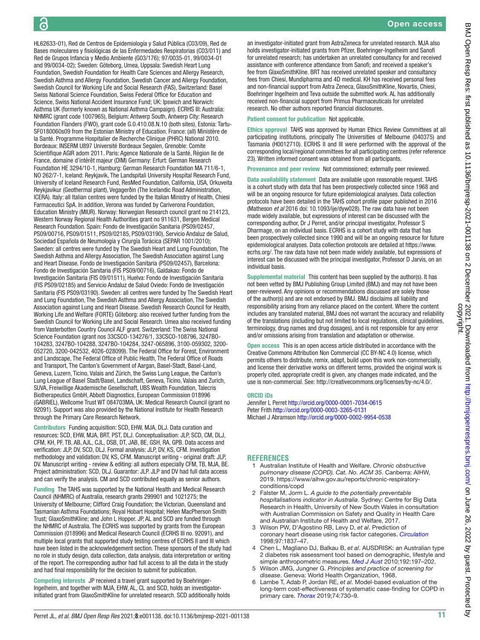HL62633-01), Red de Centros de Epidemiología y Salud Pública (C03/09), Red de Bases moleculares y fisiológicas de las Enfermedades Respiratorias (C03/011) and Red de Grupos Infancia y Medio Ambiente (G03/176); 97/0035-01, 99/0034-01 and 99/0034-02); Sweden: Göteborg, Umea, Uppsala: Swedish Heart Lung Foundation, Swedish Foundation for Health Care Sciences and Allergy Research, Swedish Asthma and Allergy Foundation, Swedish Cancer and Allergy Foundation, Swedish Council for Working Life and Social Research (FAS), Switzerland: Basel Swiss National Science Foundation, Swiss Federal Office for Education and Science, Swiss National Accident Insurance Fund; UK: Ipswich and Norwich: Asthma UK (formerly known as National Asthma Campaign). ECRHS III: Australia: NHMRC (grant code 1007965), Belgium: Antwerp South, Antwerp City: Research Foundation Flanders (FWO), grant code G.0.410.08.N.10 (both sites), Estonia: Tartu-SF0180060s09 from the Estonian Ministry of Education. France: (all) Ministère de la Santé. Programme Hospitalier de Recherche Clinique (PHRC) National 2010. Bordeaux: INSERM U897 Université Bordeaux Segalen, Grenoble: Comite Scientifique AGIR adom 2011. Paris: Agence Nationale de la Santé, Région Ile de France, domaine d'intérêt majeur (DIM) Germany: Erfurt: German Research Foundation HE 3294/10-1, Hamburg: German Research Foundation MA 711/6-1, NO 262/7-1, Iceland: Reykjavik, The Landspitali University Hospital Research Fund, University of Iceland Research Fund, ResMed Foundation, California, USA, Orkuveita Reykjavikur (Geothermal plant), Vegagerðin (The Icelandic Road Administration, ICERA). Italy: all Italian centres were funded by the Italian Ministry of Health, Chiesi Farmaceutici SpA. In addition, Verona was funded by Cariverona Foundation, Education Ministry (MIUR). Norway: Norwegian Research council grant no 214123, Western Norway Regional Health Authorities grant no 911631, Bergen Medical Research Foundation. Spain: Fondo de Investigación Sanitaria (PS09/02457, PS09/00716, PS09/01511, PS09/02185, PS09/03190), Servicio Andaluz de Salud, Sociedad Española de Neumología y Cirurgía Torácica (SEPAR 1001/2010); Sweden: all centres were funded by The Swedish Heart and Lung Foundation, The Swedish Asthma and Allergy Association, The Swedish Association against Lung and Heart Disease. Fondo de Investigación Sanitaria (PS09/02457), Barcelona: Fondo de Investigación Sanitaria (FIS PS09/00716), Galdakao: Fondo de Investigación Sanitaria (FIS 09/01511), Huelva: Fondo de Investigación Sanitaria (FIS PS09/02185) and Servicio Andaluz de Salud Oviedo: Fondo de Investigación Sanitaria (FIS PS09/03190). Sweden: all centres were funded by The Swedish Heart and Lung Foundation, The Swedish Asthma and Allergy Association, The Swedish Association against Lung and Heart Disease. Swedish Research Council for Health, Working Life and Welfare (FORTE) Göteborg: also received further funding from the Swedish Council for Working Life and Social Research. Umea also received funding from Vasterbotten Country Council ALF grant. Switzerland: The Swiss National Science Foundation (grant nos 33CSCO-134276/1, 33CSCO-108796, 3247BO-104283, 3247BO-104288, 3247BO-104284, 3247-065896, 3100-059302, 3200- 052720, 3200-042532, 4026-028099). The Federal Office for Forest, Environment and Landscape, The Federal Office of Public Health, The Federal Office of Roads and Transport, The Canton's Government of Aargan, Basel-Stadt, Basel-Land, Geneva, Luzern, Ticino, Valais and Zürich, the Swiss Lung League, the Canton's Lung League of Basel Stadt/Basel, Landschaft, Geneva, Ticino, Valais and Zurich, SUVA, Freiwillige Akademische Gesellschaft, UBS Wealth Foundation, Talecris Biotherapeutics GmbH, Abbott Diagnostics, European Commission 018996 (GABRIEL), Wellcome Trust WT 084703MA, UK: Medical Research Council (grant no 92091). Support was also provided by the National Institute for Health Research through the Primary Care Research Network.

Contributors Funding acquisition: SCD, EHW, MJA, DLJ. Data curation and resources: SCD, EHW, MJA, BRT, PST, DLJ. Conceptualisation: JLP, SCD, CM, DLJ, CFM, KH, PF, TB, AB, AJL, CJL, DSB, DT, JAB, BE, GSH, RA, GPB. Data access and verification: JLP, DV, SCD, DLJ. Formal analysis: JLP, DV, KS, CFM. Investigation methodology and validation: DV, KS, CFM. Manuscript writing - original draft: JLP, DV. Manuscript writing - review & editing: all authors especially CFM, TB, MJA, BE. Project administration: SCD, DLJ. Guarantor: JLP. JLP and DV had full data access and can verify the analysis. CM and SCD contributed equally as senior authors.

Funding The TAHS was supported by the National Health and Medical Research Council (NHMRC) of Australia, research grants 299901 and 1021275; the University of Melbourne; Clifford Craig Foundation; the Victorian, Queensland and Tasmanian Asthma Foundations; Royal Hobart Hospital; Helen MacPherson Smith Trust; GlaxoSmithKline; and John L Hopper. JP, AL and SCD are funded through the NHMRC of Australia. The ECRHS was supported by grants from the European Commission (018996) and Medical Research Council (ECRHS III no. 92091), and multiple local grants that supported study testing centres of ECRHS II and III which have been listed in the acknowledgement section. These sponsors of the study had no role in study design, data collection, data analysis, data interpretation or writing of the report. The corresponding author had full access to all the data in the study and had final responsibility for the decision to submit for publication.

Competing interests JP received a travel grant supported by Boehringer-Ingelheim, and together with MJA, EHW, AL, CL and SCD, holds an investigatorinitiated grant from GlaxoSmithKline for unrelated research. SCD additionally holds Patient consent for publication Not applicable.

Ethics approval TAHS was approved by Human Ethics Review Committees at all participating institutions, principally The Universities of Melbourne (040375) and Tasmania (H0012710). ECRHS II and III were performed with the approval of the corresponding local/regional committees for all participating centres (refer reference 23). Written informed consent was obtained from all participants.

Provenance and peer review Not commissioned; externally peer reviewed.

Data availability statement Data are available upon reasonable request. TAHS is a cohort study with data that has been prospectively collected since 1968 and will be an ongoing resource for future epidemiological analyses. Data collection protocols have been detailed in the TAHS cohort profile paper published in 2016 (Matheson *et al* 2016 doi: 10.1093/ije/dyw028). The raw data have not been made widely available, but expressions of interest can be discussed with the corresponding author, Dr J Perret, and/or principal investigator, Professor S Dharmage, on an individual basis. ECRHS is a cohort study with data that has been prospectively collected since 1990 and will be an ongoing resource for future epidemiological analyses. Data collection protocols are detailed at [https://www.](https://www.ecrhs.org/) [ecrhs.org/.](https://www.ecrhs.org/) The raw data have not been made widely available, but expressions of interest can be discussed with the principal investigator, Professor D Jarvis, on an individual basis.

Supplemental material This content has been supplied by the author(s). It has not been vetted by BMJ Publishing Group Limited (BMJ) and may not have been peer-reviewed. Any opinions or recommendations discussed are solely those of the author(s) and are not endorsed by BMJ. BMJ disclaims all liability and responsibility arising from any reliance placed on the content. Where the content includes any translated material, BMJ does not warrant the accuracy and reliability of the translations (including but not limited to local regulations, clinical guidelines, terminology, drug names and drug dosages), and is not responsible for any error and/or omissions arising from translation and adaptation or otherwise.

Open access This is an open access article distributed in accordance with the Creative Commons Attribution Non Commercial (CC BY-NC 4.0) license, which permits others to distribute, remix, adapt, build upon this work non-commercially, and license their derivative works on different terms, provided the original work is properly cited, appropriate credit is given, any changes made indicated, and the use is non-commercial. See:<http://creativecommons.org/licenses/by-nc/4.0/>.

#### ORCID iDs

Jennifer L Perret <http://orcid.org/0000-0001-7034-0615> Peter Frith<http://orcid.org/0000-0003-3265-0131> Michael J Abramson<http://orcid.org/0000-0002-9954-0538>

#### <span id="page-10-0"></span>**References**

- 1 Australian Institute of Health and Welfare. *Chronic obstructive pulmonary disease (COPD). Cat. No. ACM 35*. Canberra: AIHW, 2019. [https://www/aihw.gov.au/reports/chronic-respiratory](https://www/aihw.gov.au/reports/chronic-respiratory-conditions/copd)[conditions/copd](https://www/aihw.gov.au/reports/chronic-respiratory-conditions/copd)
- 2 Falster M, Jorm L. *A guide to the potentially preventable hospitalisations indicator in Australia*. Sydney: Centre for Big Data Research in Health, University of New South Wales in consultation with Australian Commission on Safety and Quality in Health Care and Australian Institute of Health and Welfare, 2017.
- <span id="page-10-1"></span>3 Wilson PW, D'Agostino RB, Levy D, *et al*. Prediction of coronary heart disease using risk factor categories. *[Circulation](http://dx.doi.org/10.1161/01.CIR.97.18.1837)* 1998;97:1837–47.
- 4 Chen L, Magliano DJ, Balkau B, *et al*. AUSDRISK: an Australian type 2 diabetes risk assessment tool based on demographic, lifestyle and simple anthropometric measures. *[Med J Aust](http://dx.doi.org/10.5694/j.1326-5377.2010.tb03478.x)* 2010;192:197–202.
- <span id="page-10-2"></span>5 Wilson JMG, Jungner G. *Principles and practice of screening for disease*. Geneva: World Health Organization, 1968.
- <span id="page-10-3"></span>6 Lambe T, Adab P, Jordan RE, *et al*. Model-based evaluation of the long-term cost-effectiveness of systematic case-finding for COPD in primary care. *[Thorax](http://dx.doi.org/10.1136/thoraxjnl-2018-212148)* 2019;74:730–9.